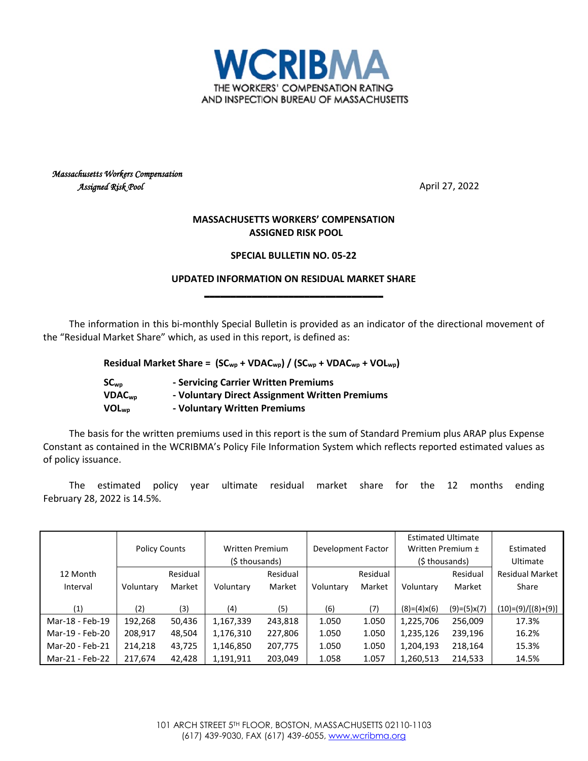

### *Massachusetts Workers Compensation Assigned Risk Pool* April 27, 2022

### **MASSACHUSETTS WORKERS' COMPENSATION ASSIGNED RISK POOL**

#### **SPECIAL BULLETIN NO. 05-22**

### **UPDATED INFORMATION ON RESIDUAL MARKET SHARE \_\_\_\_\_\_\_\_\_\_\_\_\_\_\_\_\_\_\_\_\_\_\_\_\_\_\_\_\_\_\_\_\_\_**

The information in this bi-monthly Special Bulletin is provided as an indicator of the directional movement of the "Residual Market Share" which, as used in this report, is defined as:

**Residual Market Share = (SCwp + VDACwp) / (SCwp + VDACwp + VOLwp)**

| SC <sub>wo</sub>         | - Servicing Carrier Written Premiums           |
|--------------------------|------------------------------------------------|
| <b>VDAC<sub>wp</sub></b> | - Voluntary Direct Assignment Written Premiums |
| $VOL_{wp}$               | - Voluntary Written Premiums                   |

The basis for the written premiums used in this report is the sum of Standard Premium plus ARAP plus Expense Constant as contained in the WCRIBMA's Policy File Information System which reflects reported estimated values as of policy issuance.

The estimated policy year ultimate residual market share for the 12 months ending February 28, 2022 is 14.5%.

|                 |                      |          |                        |          |                    |          | <b>Estimated Ultimate</b> |               |                        |
|-----------------|----------------------|----------|------------------------|----------|--------------------|----------|---------------------------|---------------|------------------------|
|                 | <b>Policy Counts</b> |          | <b>Written Premium</b> |          | Development Factor |          | Written Premium ±         |               | Estimated              |
|                 |                      |          | (\$ thousands)         |          |                    |          | (\$ thousands)            |               | Ultimate               |
| 12 Month        |                      | Residual |                        | Residual |                    | Residual |                           | Residual      | <b>Residual Market</b> |
| Interval        | Voluntary            | Market   | Voluntary              | Market   | Voluntary          | Market   | Voluntary                 | Market        | Share                  |
|                 |                      |          |                        |          |                    |          |                           |               |                        |
| (1)             | (2)                  | (3)      | (4)                    | (5)      | (6)                | (7)      | $(8)=(4)x(6)$             | $(9)=(5)x(7)$ | (10)=(9)/[(8)+(9)]     |
| Mar-18 - Feb-19 | 192,268              | 50,436   | 1,167,339              | 243,818  | 1.050              | 1.050    | 1,225,706                 | 256,009       | 17.3%                  |
| Mar-19 - Feb-20 | 208,917              | 48,504   | 1,176,310              | 227,806  | 1.050              | 1.050    | 1,235,126                 | 239,196       | 16.2%                  |
| Mar-20 - Feb-21 | 214,218              | 43,725   | 1,146,850              | 207,775  | 1.050              | 1.050    | 1,204,193                 | 218,164       | 15.3%                  |
| Mar-21 - Feb-22 | 217,674              | 42,428   | 1,191,911              | 203,049  | 1.058              | 1.057    | 1,260,513                 | 214,533       | 14.5%                  |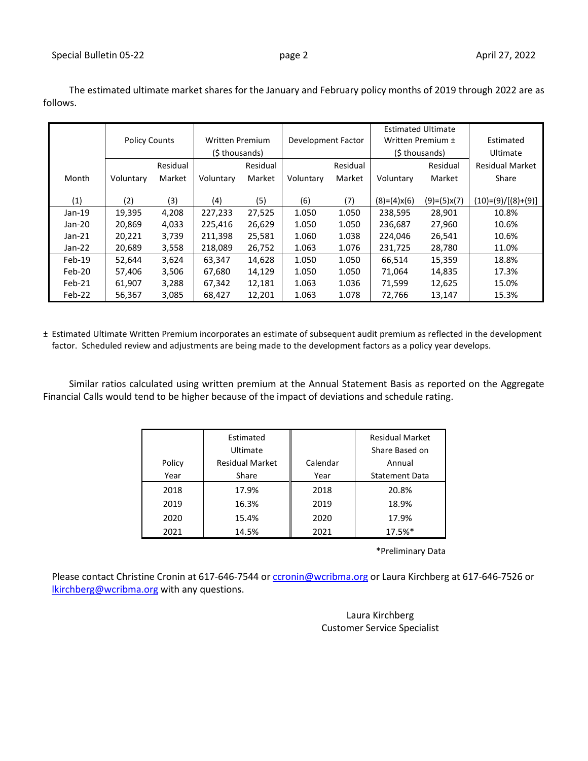|          | <b>Policy Counts</b> |          | <b>Written Premium</b> |          | Development Factor |          | <b>Estimated Ultimate</b><br>Written Premium ± |               | Estimated              |
|----------|----------------------|----------|------------------------|----------|--------------------|----------|------------------------------------------------|---------------|------------------------|
|          |                      |          | (\$ thousands)         |          |                    |          | (\$ thousands)                                 |               | Ultimate               |
|          |                      | Residual |                        | Residual |                    | Residual |                                                | Residual      | <b>Residual Market</b> |
| Month    | Voluntary            | Market   | Voluntary              | Market   | Voluntary          | Market   | Voluntary                                      | Market        | Share                  |
|          |                      |          |                        |          |                    |          |                                                |               |                        |
| (1)      | (2)                  | (3)      | (4)                    | (5)      | (6)                | (7)      | $(8)=(4)x(6)$                                  | $(9)=(5)x(7)$ | $(10)= (9)/[(8)+(9)]$  |
| $Jan-19$ | 19,395               | 4,208    | 227,233                | 27,525   | 1.050              | 1.050    | 238,595                                        | 28,901        | 10.8%                  |
| $Jan-20$ | 20,869               | 4,033    | 225,416                | 26,629   | 1.050              | 1.050    | 236,687                                        | 27,960        | 10.6%                  |
| $Jan-21$ | 20,221               | 3,739    | 211,398                | 25,581   | 1.060              | 1.038    | 224,046                                        | 26,541        | 10.6%                  |
| Jan-22   | 20,689               | 3,558    | 218,089                | 26,752   | 1.063              | 1.076    | 231,725                                        | 28,780        | 11.0%                  |
| $Feb-19$ | 52,644               | 3,624    | 63.347                 | 14,628   | 1.050              | 1.050    | 66,514                                         | 15,359        | 18.8%                  |
| Feb-20   | 57,406               | 3,506    | 67,680                 | 14,129   | 1.050              | 1.050    | 71,064                                         | 14,835        | 17.3%                  |
| Feb-21   | 61,907               | 3,288    | 67,342                 | 12,181   | 1.063              | 1.036    | 71,599                                         | 12,625        | 15.0%                  |
| Feb-22   | 56,367               | 3,085    | 68,427                 | 12,201   | 1.063              | 1.078    | 72,766                                         | 13,147        | 15.3%                  |

The estimated ultimate market shares for the January and February policy months of 2019 through 2022 are as follows.

± Estimated Ultimate Written Premium incorporates an estimate of subsequent audit premium as reflected in the development factor. Scheduled review and adjustments are being made to the development factors as a policy year develops.

Similar ratios calculated using written premium at the Annual Statement Basis as reported on the Aggregate Financial Calls would tend to be higher because of the impact of deviations and schedule rating.

|        | Estimated<br>Ultimate  |          | <b>Residual Market</b><br>Share Based on |
|--------|------------------------|----------|------------------------------------------|
| Policy | <b>Residual Market</b> | Calendar | Annual                                   |
| Year   | Share                  | Year     | <b>Statement Data</b>                    |
| 2018   | 17.9%                  | 2018     | 20.8%                                    |
| 2019   | 16.3%                  | 2019     | 18.9%                                    |
| 2020   | 15.4%                  | 2020     | 17.9%                                    |
| 2021   | 14.5%                  | 2021     | 17.5%*                                   |

\*Preliminary Data

Please contact Christine Cronin at 617-646-7544 or [ccronin@wcribma.org](mailto:ccronin@wcribma.org) or Laura Kirchberg at 617-646-7526 or **[lkirchberg@wcribma.org](mailto:lkirchberg@wcribma.org)** with any questions.

> Laura Kirchberg Customer Service Specialist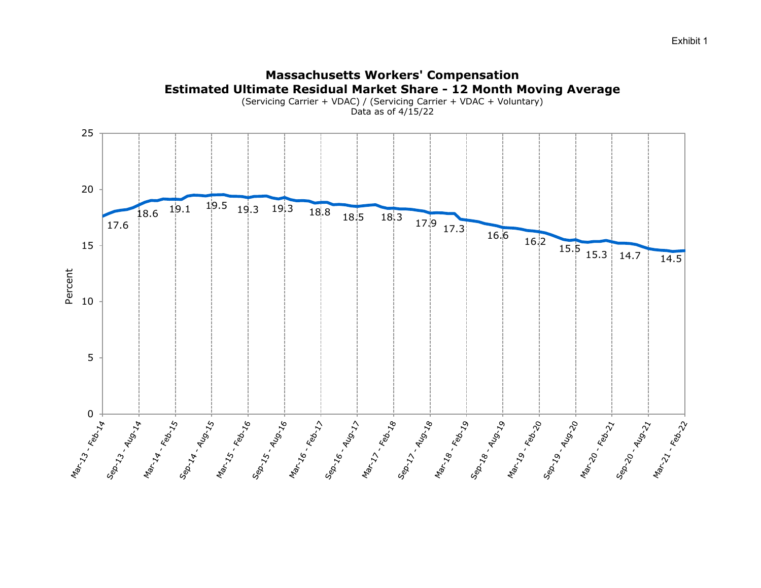

# **Massachusetts Workers' Compensation**

Exhibit 1